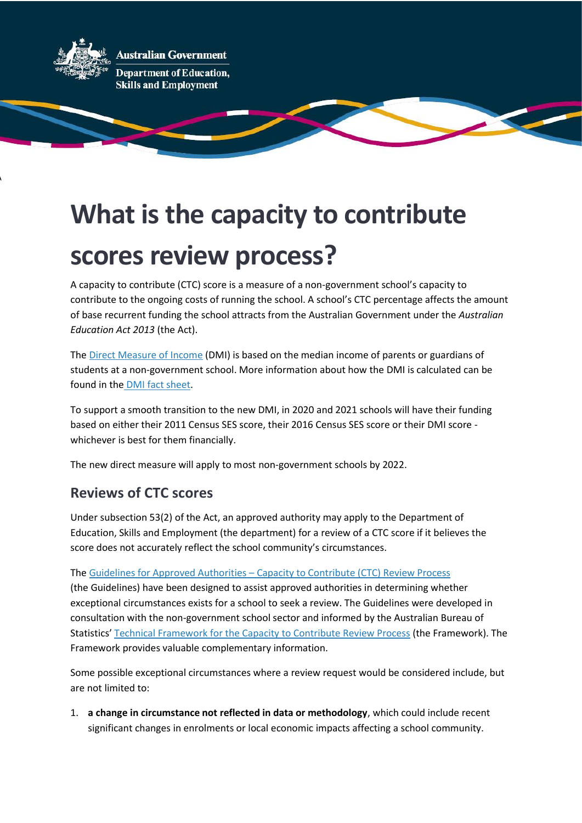

# **What is the capacity to contribute**

## **scores review process?**

A capacity to contribute (CTC) score is a measure of a non-government school's capacity to contribute to the ongoing costs of running the school. A school's CTC percentage affects the amount of base recurrent funding the school attracts from the Australian Government under the *Australian Education Act 2013* (the Act).

The [Direct Measure of Income](https://www.dese.gov.au/quality-schools-package/fact-sheets/what-direct-measure-income) (DMI) is based on the median income of parents or guardians of students at a non-government school. More information about how the DMI is calculated can be found in the [DMI fact sheet.](https://docs.education.gov.au/node/53287)

To support a smooth transition to the new DMI, in 2020 and 2021 schools will have their funding based on either their 2011 Census SES score, their 2016 Census SES score or their DMI score whichever is best for them financially.

The new direct measure will apply to most non-government schools by 2022.

#### **Reviews of CTC scores**

\

Under subsection 53(2) of the Act, an approved authority may apply to the Department of Education, Skills and Employment (the department) for a review of a CTC score if it believes the score does not accurately reflect the school community's circumstances.

#### The Guidelines for Approved Authorities – [Capacity to Contribute \(CTC\) Review Process](https://docs.education.gov.au/documents/guidelines-approved-authorities-capacity-contribute-ctc-review-process)

(the Guidelines) have been designed to assist approved authorities in determining whether exceptional circumstances exists for a school to seek a review. The Guidelines were developed in consultation with the non-government school sector and informed by the Australian Bureau of Statistics' [Technical Framework for the Capacity to Contribute Review Process](https://docs.education.gov.au/documents/technical-framework-capacity-contribute-review-process) (the Framework). The Framework provides valuable complementary information.

Some possible exceptional circumstances where a review request would be considered include, but are not limited to:

1. **a change in circumstance not reflected in data or methodology**, which could include recent significant changes in enrolments or local economic impacts affecting a school community.